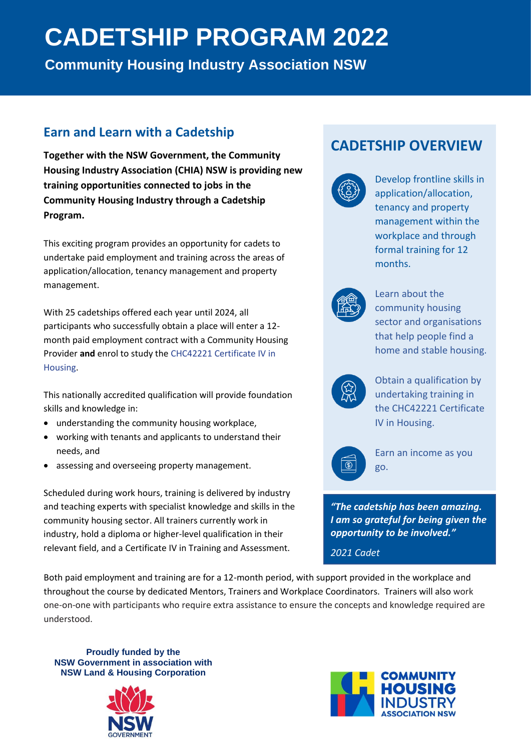# **CADETSHIP PROGRAM 2022**

**Community Housing Industry Association NSW**

## **Earn and Learn with a Cadetship**

**Together with the NSW Government, the Community Housing Industry Association (CHIA) NSW is providing new training opportunities connected to jobs in the Community Housing Industry through a Cadetship Program.**

This exciting program provides an opportunity for cadets to undertake paid employment and training across the areas of application/allocation, tenancy management and property management.

With 25 cadetships offered each year until 2024, all participants who successfully obtain a place will enter a 12 month paid employment contract with a Community Housing Provider **and** enrol to study the CHC42221 Certificate IV in Housing.

This nationally accredited qualification will provide foundation skills and knowledge in:

- understanding the community housing workplace,
- working with tenants and applicants to understand their needs, and
- assessing and overseeing property management.

Scheduled during work hours, training is delivered by industry and teaching experts with specialist knowledge and skills in the community housing sector. All trainers currently work in industry, hold a diploma or higher-level qualification in their relevant field, and a Certificate IV in Training and Assessment.

Both paid employment and training are for a 12-month period, with support provided in the workplace and throughout the course by dedicated Mentors, Trainers and Workplace Coordinators. Trainers will also work one-on-one with participants who require extra assistance to ensure the concepts and knowledge required are understood.

**Proudly funded by the NSW Government in association with NSW Land & Housing Corporation**



## **CADETSHIP OVERVIEW**



Develop frontline skills in application/allocation, tenancy and property management within the workplace and through formal training for 12 months.



Learn about the community housing sector and organisations that help people find a home and stable housing.



Obtain a qualification by undertaking training in the CHC42221 Certificate IV in Housing.



Earn an income as you go.

*"The cadetship has been amazing. I am so grateful for being given the opportunity to be involved."*

*2021 Cadet*